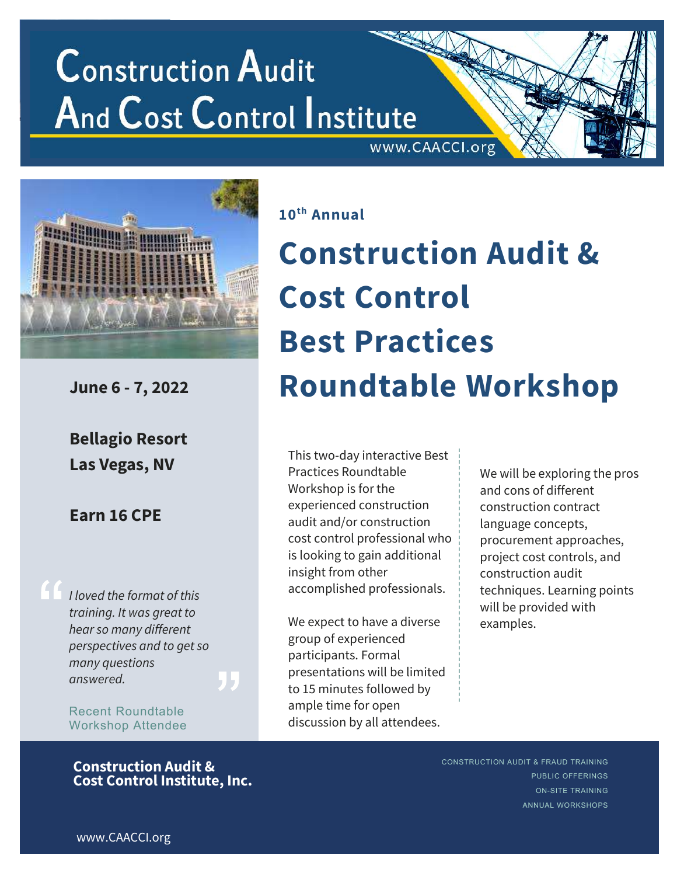## **Construction Audit And Cost Control Institute** www.CAACCI.org



Bellagio Resort Las Vegas, NV

### Earn 16 CPE

I loved the format of this training. It was great to hear so many different perspectives and to get so many questions answered.

Recent Roundtable Workshop Attendee

#### Construction Audit & Cost Control Institute, Inc.

10th Annual

# Construction Audit & Cost Control Best Practices June 6 - 7, 2022 Roundtable Workshop

This two-day interactive Best Practices Roundtable Workshop is for the experienced construction audit and/or construction cost control professional who is looking to gain additional insight from other accomplished professionals.

We expect to have a diverse group of experienced participants. Formal presentations will be limited to 15 minutes followed by ample time for open discussion by all attendees.

We will be exploring the pros and cons of different construction contract language concepts, procurement approaches, project cost controls, and construction audit techniques. Learning points will be provided with examples.

CONSTRUCTION AUDIT & FRAUD TRAINING

PUBLIC OFFERINGS ON-SITE TRAINING ANNUAL WORKSHOPS

www.CAACCI.org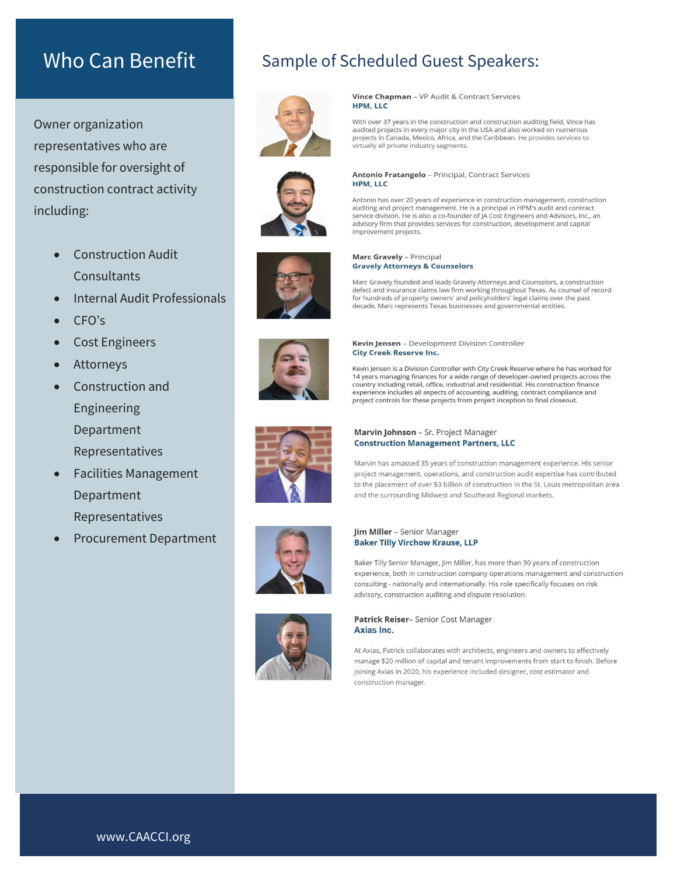Owner organization representatives who are responsible for oversight of construction contract activity including:

- Construction Audit Consultants
- Internal Audit Professionals
- CFO's
- Cost Engineers
- Attorneys
- Construction and Engineering Department Representatives
- Facilities Management Department Representatives
- Procurement Department

### Who Can Benefit Sample of Scheduled Guest Speakers:



Vince Chapman - VP Audit & Contract Services **HPM, LLC** 

With over 37 years in the construction and construction auditing field, Vince has audited projects in every major city in the USA and also worked on numerous<br>projects in Canada, Mexico, Africa, and the Caribbean. He provides services to virtually all private industry segments.





#### Antonio has over 20 years of experience in construction management, construction

Antonio Fratangelo - Principal, Contract Services

auditing and project management. He is a principal in HPM's audit and contract service division. He is also a co-founder of JA Cost Engineers and Advisors, Inc., an advisory firm that provides services for construction, development and capital improvement projects.



HPM, LLC

Marc Gravely founded and leads Gravely Attorneys and Counselors, a construction<br>defect and insurance claims law firm working throughout Texas. As counsel of record for hundreds of property owners' and policyholders' legal claims over the past decade, Marc represents Texas businesses and governmental entities.



Kevin Jensen - Development Division Controller **City Creek Reserve Inc.** 

Kevin Jensen is a Division Controller with City Creek Reserve where he has worked for 14 years managing finances for a wide range of developer-owned projects across the country including retail, office, industrial and residential. His construction finance experience includes all aspects of accounting, auditing, contract compliance and project controls for these projects from project inception to final closeout.



#### Marvin Johnson - Sr. Project Manager **Construction Management Partners, LLC**

Marvin has amassed 35 years of construction management experience. His senior project management, operations, and construction audit expertise has contributed to the placement of over \$3 billion of construction in the St. Louis metropolitan area and the surrounding Midwest and Southeast Regional markets.



#### **Jim Miller** - Senior Manager **Baker Tilly Virchow Krause, LLP**

Baker Tilly Senior Manager, Jim Miller, has more than 30 years of construction experience, both in construction company operations management and construction consulting - nationally and internationally. His role specifically focuses on risk advisory, construction auditing and dispute resolution.



Patrick Reiser- Senior Cost Manager Axias Inc.

At Axias, Patrick collaborates with architects, engineers and owners to effectively manage \$20 million of capital and tenant improvements from start to finish. Before joining Axias in 2020, his experience included designer, cost estimator and construction manager.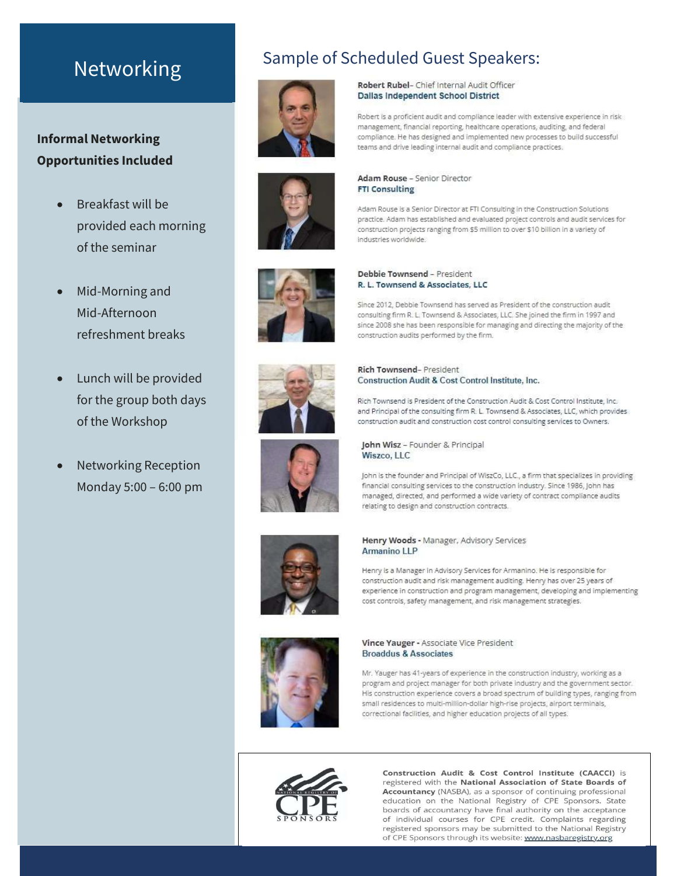#### Informal Networking Opportunities Included

- Breakfast will be provided each morning of the seminar
- Mid-Morning and Mid-Afternoon refreshment breaks
- Lunch will be provided for the group both days of the Workshop
- Networking Reception Monday 5:00 – 6:00 pm











## Construction Audit & Cost Control Institute, Inc.

Rich Townsend is President of the Construction Audit & Cost Control Institute, Inc. and Principal of the consulting firm R. L. Townsend & Associates, LLC, which provides construction audit and construction cost control consulting services to Owners.



John Wisz - Founder & Principal Wiszco, LLC

John is the founder and Principal of WiszCo, LLC., a firm that specializes in providing financial consulting services to the construction industry. Since 1986, John has managed, directed, and performed a wide variety of contract compliance audits relating to design and construction contracts.



#### Henry Woods - Manager, Advisory Services Armanino LLP

Henry is a Manager in Advisory Services for Armanino. He is responsible for construction audit and risk management auditing. Henry has over 25 years of experience in construction and program management, developing and implementing cost controls, safety management, and risk management strategies.



Vince Yauger - Associate Vice President **Broaddus & Associates** 

Mr. Yauger has 41-years of experience in the construction industry, working as a program and project manager for both private industry and the government sector. His construction experience covers a broad spectrum of building types, ranging from small residences to multi-million-dollar high-rise projects, airport terminals, correctional facilities, and higher education projects of all types.



Construction Audit & Cost Control Institute (CAACCI) is registered with the National Association of State Boards of Accountancy (NASBA), as a sponsor of continuing professional education on the National Registry of CPE Sponsors. State boards of accountancy have final authority on the acceptance of individual courses for CPE credit. Complaints regarding registered sponsors may be submitted to the National Registry of CPE Sponsors through its website: www.nasbaregistry.org

# Networking<br>
Metworking<br>
Metworking<br>
Mether Rubert Rubel-Chief Internal Audit Officer

industries worldwide.

Debbie Townsend - President R. L. Townsend & Associates, LLC

Dallas Independent School District

Robert is a proficient audit and compliance leader with extensive experience in risk management, financial reporting, healthcare operations, auditing, and federal compliance. He has designed and implemented new processes to build successful teams and drive leading internal audit and compliance practices.

construction projects ranging from \$5 million to over \$10 billion in a variety of

Since 2012, Debbie Townsend has served as President of the construction audit consulting firm R. L. Townsend & Associates, LLC. She joined the firm in 1997 and since 2008 she has been responsible for managing and directing the majority of the